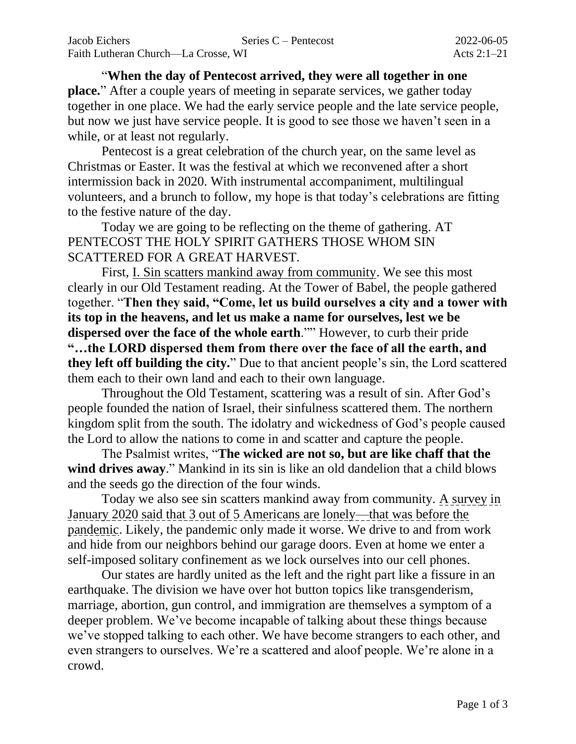"**When the day of Pentecost arrived, they were all together in one place.**" After a couple years of meeting in separate services, we gather today together in one place. We had the early service people and the late service people, but now we just have service people. It is good to see those we haven't seen in a while, or at least not regularly.

Pentecost is a great celebration of the church year, on the same level as Christmas or Easter. It was the festival at which we reconvened after a short intermission back in 2020. With instrumental accompaniment, multilingual volunteers, and a brunch to follow, my hope is that today's celebrations are fitting to the festive nature of the day.

Today we are going to be reflecting on the theme of gathering. AT PENTECOST THE HOLY SPIRIT GATHERS THOSE WHOM SIN SCATTERED FOR A GREAT HARVEST.

First, I. Sin scatters mankind away from community. We see this most clearly in our Old Testament reading. At the Tower of Babel, the people gathered together. "**Then they said, "Come, let us build ourselves a city and a tower with its top in the heavens, and let us make a name for ourselves, lest we be dispersed over the face of the whole earth**."" However, to curb their pride **"…the LORD dispersed them from there over the face of all the earth, and they left off building the city.**" Due to that ancient people's sin, the Lord scattered them each to their own land and each to their own language.

Throughout the Old Testament, scattering was a result of sin. After God's people founded the nation of Israel, their sinfulness scattered them. The northern kingdom split from the south. The idolatry and wickedness of God's people caused the Lord to allow the nations to come in and scatter and capture the people.

The Psalmist writes, "**The wicked are not so, but are like chaff that the**  wind drives away." Mankind in its sin is like an old dandelion that a child blows and the seeds go the direction of the four winds.

Today we also see sin scatters mankind away from community. A survey in January 2020 said that 3 out of 5 Americans are lonely—that was before the pandemic. Likely, the pandemic only made it worse. We drive to and from work and hide from our neighbors behind our garage doors. Even at home we enter a self-imposed solitary confinement as we lock ourselves into our cell phones.

Our states are hardly united as the left and the right part like a fissure in an earthquake. The division we have over hot button topics like transgenderism, marriage, abortion, gun control, and immigration are themselves a symptom of a deeper problem. We've become incapable of talking about these things because we've stopped talking to each other. We have become strangers to each other, and even strangers to ourselves. We're a scattered and aloof people. We're alone in a crowd.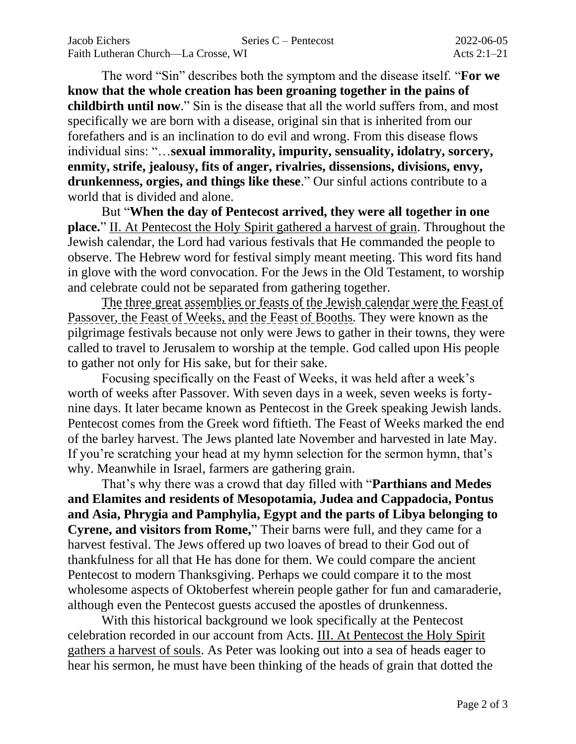The word "Sin" describes both the symptom and the disease itself. "**For we know that the whole creation has been groaning together in the pains of childbirth until now**." Sin is the disease that all the world suffers from, and most specifically we are born with a disease, original sin that is inherited from our forefathers and is an inclination to do evil and wrong. From this disease flows individual sins: "…**sexual immorality, impurity, sensuality, idolatry, sorcery, enmity, strife, jealousy, fits of anger, rivalries, dissensions, divisions, envy, drunkenness, orgies, and things like these**." Our sinful actions contribute to a world that is divided and alone.

But "**When the day of Pentecost arrived, they were all together in one place.**" II. At Pentecost the Holy Spirit gathered a harvest of grain. Throughout the Jewish calendar, the Lord had various festivals that He commanded the people to observe. The Hebrew word for festival simply meant meeting. This word fits hand in glove with the word convocation. For the Jews in the Old Testament, to worship and celebrate could not be separated from gathering together.

The three great assemblies or feasts of the Jewish calendar were the Feast of Passover, the Feast of Weeks, and the Feast of Booths. They were known as the pilgrimage festivals because not only were Jews to gather in their towns, they were called to travel to Jerusalem to worship at the temple. God called upon His people to gather not only for His sake, but for their sake.

Focusing specifically on the Feast of Weeks, it was held after a week's worth of weeks after Passover. With seven days in a week, seven weeks is fortynine days. It later became known as Pentecost in the Greek speaking Jewish lands. Pentecost comes from the Greek word fiftieth. The Feast of Weeks marked the end of the barley harvest. The Jews planted late November and harvested in late May. If you're scratching your head at my hymn selection for the sermon hymn, that's why. Meanwhile in Israel, farmers are gathering grain.

That's why there was a crowd that day filled with "**Parthians and Medes and Elamites and residents of Mesopotamia, Judea and Cappadocia, Pontus and Asia, Phrygia and Pamphylia, Egypt and the parts of Libya belonging to Cyrene, and visitors from Rome,**" Their barns were full, and they came for a harvest festival. The Jews offered up two loaves of bread to their God out of thankfulness for all that He has done for them. We could compare the ancient Pentecost to modern Thanksgiving. Perhaps we could compare it to the most wholesome aspects of Oktoberfest wherein people gather for fun and camaraderie, although even the Pentecost guests accused the apostles of drunkenness.

With this historical background we look specifically at the Pentecost celebration recorded in our account from Acts. III. At Pentecost the Holy Spirit gathers a harvest of souls. As Peter was looking out into a sea of heads eager to hear his sermon, he must have been thinking of the heads of grain that dotted the